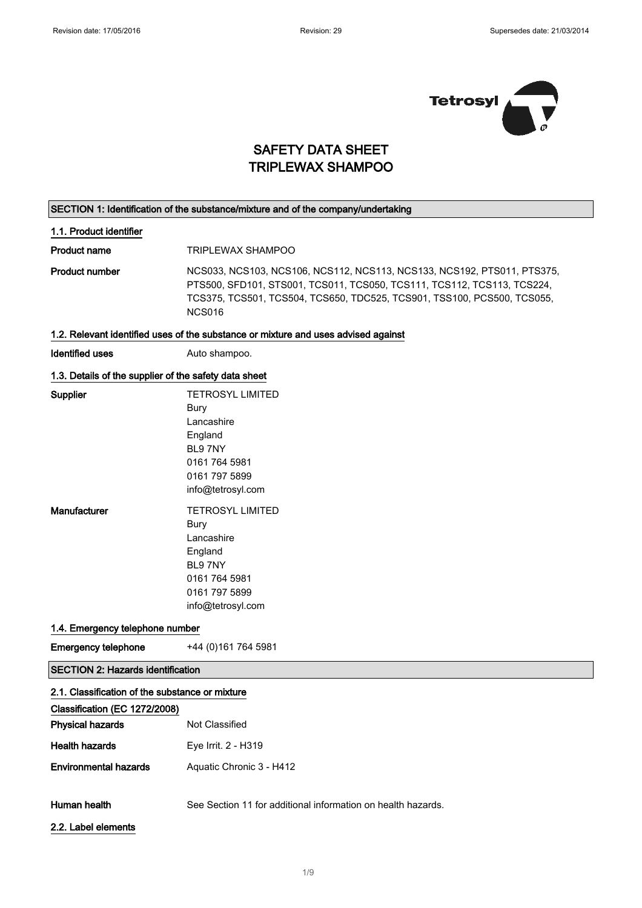

### SAFETY DATA SHEET TRIPLEWAX SHAMPOO

#### SECTION 1: Identification of the substance/mixture and of the company/undertaking

#### 1.1. Product identifier

Product name TRIPLEWAX SHAMPOO

Product number NCS033, NCS103, NCS106, NCS112, NCS113, NCS133, NCS192, PTS011, PTS375, PTS500, SFD101, STS001, TCS011, TCS050, TCS111, TCS112, TCS113, TCS224, TCS375, TCS501, TCS504, TCS650, TDC525, TCS901, TSS100, PCS500, TCS055, NCS016

#### 1.2. Relevant identified uses of the substance or mixture and uses advised against

Identified uses **Auto shampoo.** 

#### 1.3. Details of the supplier of the safety data sheet

| <b>Supplier</b> | <b>TETROSYL LIMITED</b> |
|-----------------|-------------------------|
|                 | Bury                    |
|                 | Lancashire              |
|                 | England                 |
|                 | <b>BI 97NY</b>          |
|                 | 0161 764 5981           |
|                 | 0161 797 5899           |
|                 | info@tetrosyl.com       |
| Manufacturer    | <b>TETROSYL LIMITED</b> |
|                 |                         |
|                 | Bury                    |
|                 | Lancashire              |
|                 | England                 |
|                 | <b>BI 97NY</b>          |
|                 | 0161 764 5981           |
|                 | 0161 797 5899           |

#### 1.4. Emergency telephone number

Emergency telephone +44 (0)161 764 5981

SECTION 2: Hazards identification

| 2.1. Classification of the substance or mixture |                                                              |
|-------------------------------------------------|--------------------------------------------------------------|
| Classification (EC 1272/2008)                   |                                                              |
| <b>Physical hazards</b>                         | Not Classified                                               |
| <b>Health hazards</b>                           | Eye Irrit. 2 - H319                                          |
| <b>Environmental hazards</b>                    | Aquatic Chronic 3 - H412                                     |
| Human health                                    | See Section 11 for additional information on health hazards. |
| 2.2. Label elements                             |                                                              |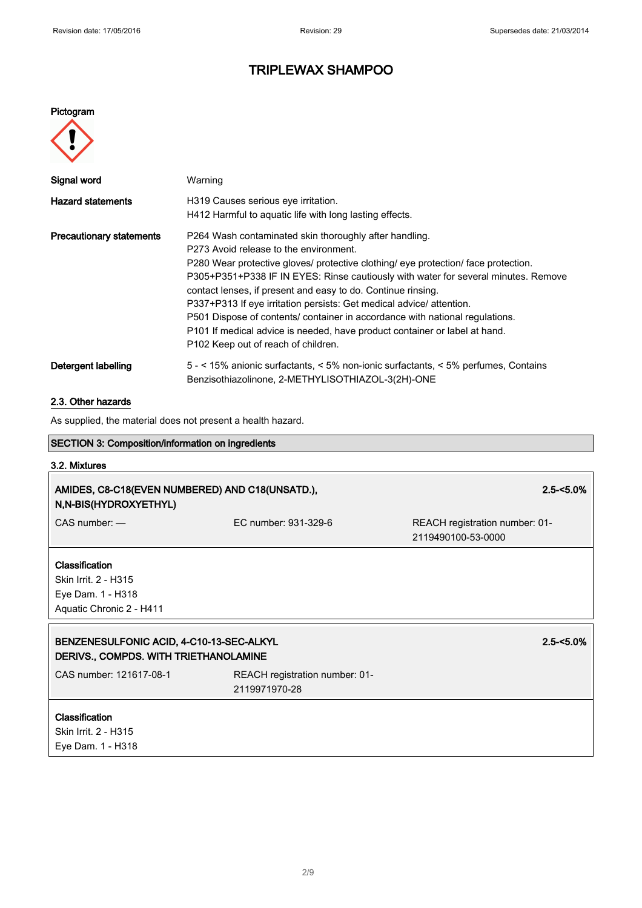#### Pictogram



| Signal word                     | Warning                                                                                                                                                                                                                                                                                                                                                                                                                                                                                                                                                                                                                              |
|---------------------------------|--------------------------------------------------------------------------------------------------------------------------------------------------------------------------------------------------------------------------------------------------------------------------------------------------------------------------------------------------------------------------------------------------------------------------------------------------------------------------------------------------------------------------------------------------------------------------------------------------------------------------------------|
| <b>Hazard statements</b>        | H319 Causes serious eye irritation.<br>H412 Harmful to aquatic life with long lasting effects.                                                                                                                                                                                                                                                                                                                                                                                                                                                                                                                                       |
| <b>Precautionary statements</b> | P264 Wash contaminated skin thoroughly after handling.<br>P273 Avoid release to the environment.<br>P280 Wear protective gloves/ protective clothing/ eye protection/ face protection.<br>P305+P351+P338 IF IN EYES: Rinse cautiously with water for several minutes. Remove<br>contact lenses, if present and easy to do. Continue rinsing.<br>P337+P313 If eye irritation persists: Get medical advice/attention.<br>P501 Dispose of contents/ container in accordance with national regulations.<br>P101 If medical advice is needed, have product container or label at hand.<br>P <sub>102</sub> Keep out of reach of children. |
| Detergent labelling             | 5 - < 15% anionic surfactants, < 5% non-ionic surfactants, < 5% perfumes, Contains<br>Benzisothiazolinone, 2-METHYLISOTHIAZOL-3(2H)-ONE                                                                                                                                                                                                                                                                                                                                                                                                                                                                                              |

### 2.3. Other hazards

As supplied, the material does not present a health hazard.

| <b>SECTION 3: Composition/information on ingredients</b>                                |                                                 |                                                      |
|-----------------------------------------------------------------------------------------|-------------------------------------------------|------------------------------------------------------|
| 3.2. Mixtures                                                                           |                                                 |                                                      |
| AMIDES, C8-C18(EVEN NUMBERED) AND C18(UNSATD.),<br>N, N-BIS(HYDROXYETHYL)               |                                                 | $2.5 - 5.0\%$                                        |
| $CAS$ number: $-$                                                                       | EC number: 931-329-6                            | REACH registration number: 01-<br>2119490100-53-0000 |
| Classification<br>Skin Irrit. 2 - H315<br>Eye Dam. 1 - H318<br>Aquatic Chronic 2 - H411 |                                                 |                                                      |
| BENZENESULFONIC ACID, 4-C10-13-SEC-ALKYL<br>DERIVS., COMPDS. WITH TRIETHANOLAMINE       |                                                 | $2.5 - 5.0\%$                                        |
| CAS number: 121617-08-1                                                                 | REACH registration number: 01-<br>2119971970-28 |                                                      |
| Classification<br>Skin Irrit. 2 - H315<br>Eye Dam. 1 - H318                             |                                                 |                                                      |
|                                                                                         |                                                 |                                                      |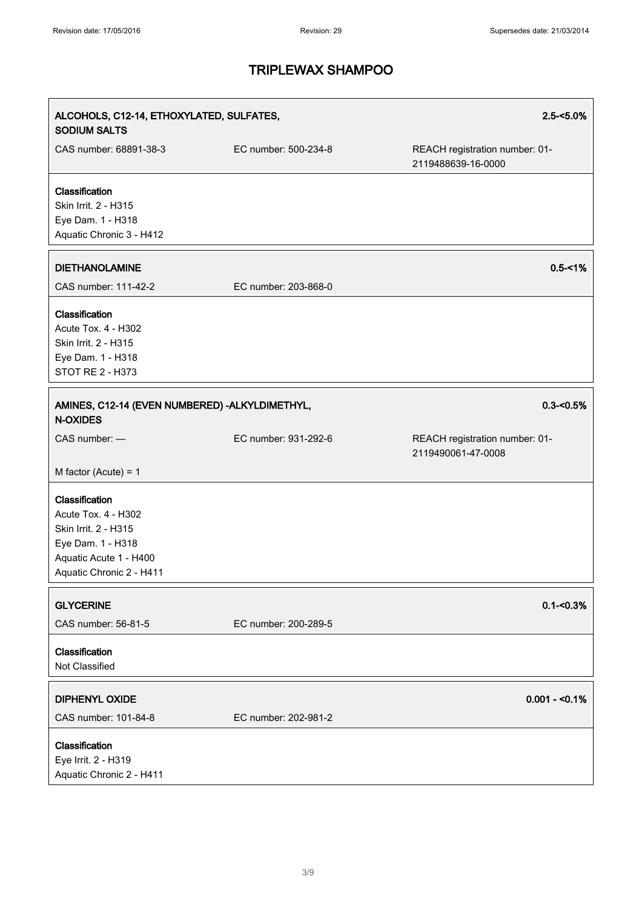| ALCOHOLS, C12-14, ETHOXYLATED, SULFATES,<br><b>SODIUM SALTS</b>                                                                                                    |                      | $2.5 - 5.0\%$                                        |
|--------------------------------------------------------------------------------------------------------------------------------------------------------------------|----------------------|------------------------------------------------------|
| CAS number: 68891-38-3                                                                                                                                             | EC number: 500-234-8 | REACH registration number: 01-<br>2119488639-16-0000 |
| Classification<br>Skin Irrit. 2 - H315<br>Eye Dam. 1 - H318<br>Aquatic Chronic 3 - H412                                                                            |                      |                                                      |
| <b>DIETHANOLAMINE</b><br>CAS number: 111-42-2                                                                                                                      | EC number: 203-868-0 | $0.5 - 1%$                                           |
| Classification<br>Acute Tox. 4 - H302<br>Skin Irrit. 2 - H315<br>Eye Dam. 1 - H318<br><b>STOT RE 2 - H373</b>                                                      |                      |                                                      |
| AMINES, C12-14 (EVEN NUMBERED) - ALKYLDIMETHYL,<br><b>N-OXIDES</b>                                                                                                 |                      | $0.3 - 0.5%$                                         |
| CAS number: -                                                                                                                                                      | EC number: 931-292-6 | REACH registration number: 01-<br>2119490061-47-0008 |
| M factor (Acute) = $1$<br>Classification<br>Acute Tox. 4 - H302<br>Skin Irrit. 2 - H315<br>Eye Dam. 1 - H318<br>Aquatic Acute 1 - H400<br>Aquatic Chronic 2 - H411 |                      |                                                      |
| <b>GLYCERINE</b><br>CAS number: 56-81-5                                                                                                                            | EC number: 200-289-5 | $0.1 - 0.3%$                                         |
| Classification<br>Not Classified                                                                                                                                   |                      |                                                      |
| <b>DIPHENYL OXIDE</b><br>CAS number: 101-84-8                                                                                                                      | EC number: 202-981-2 | $0.001 - 50.1%$                                      |
| Classification<br>Eye Irrit. 2 - H319<br>Aquatic Chronic 2 - H411                                                                                                  |                      |                                                      |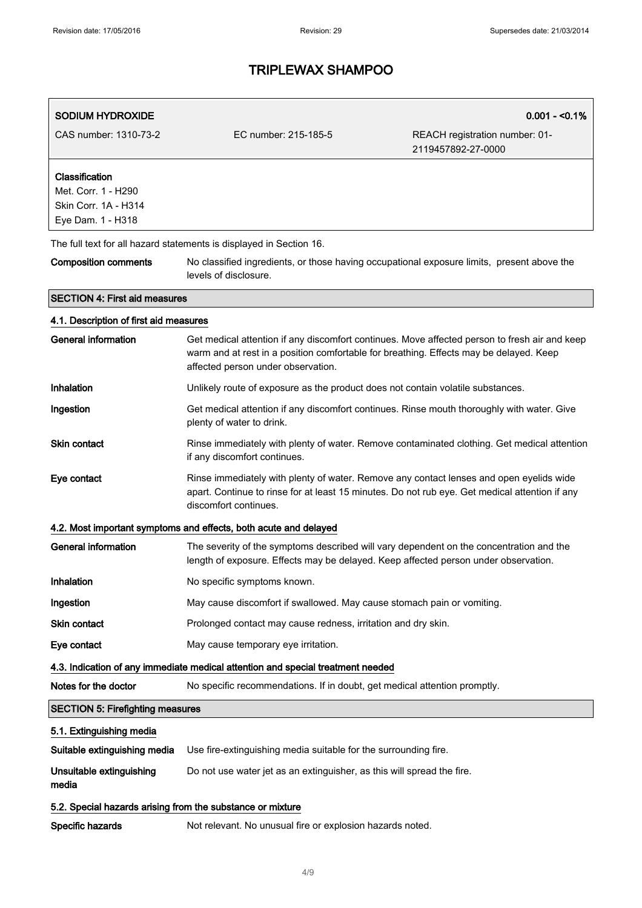| SODIUM HYDROXIDE                                                                   |                                                                                                                                                                                                                               | $0.001 - 0.1%$                                       |
|------------------------------------------------------------------------------------|-------------------------------------------------------------------------------------------------------------------------------------------------------------------------------------------------------------------------------|------------------------------------------------------|
| CAS number: 1310-73-2                                                              | EC number: 215-185-5                                                                                                                                                                                                          | REACH registration number: 01-<br>2119457892-27-0000 |
| Classification<br>Met. Corr. 1 - H290<br>Skin Corr. 1A - H314<br>Eye Dam. 1 - H318 |                                                                                                                                                                                                                               |                                                      |
|                                                                                    | The full text for all hazard statements is displayed in Section 16.                                                                                                                                                           |                                                      |
| <b>Composition comments</b>                                                        | No classified ingredients, or those having occupational exposure limits, present above the<br>levels of disclosure.                                                                                                           |                                                      |
| <b>SECTION 4: First aid measures</b>                                               |                                                                                                                                                                                                                               |                                                      |
| 4.1. Description of first aid measures                                             |                                                                                                                                                                                                                               |                                                      |
| General information                                                                | Get medical attention if any discomfort continues. Move affected person to fresh air and keep<br>warm and at rest in a position comfortable for breathing. Effects may be delayed. Keep<br>affected person under observation. |                                                      |
| Inhalation                                                                         | Unlikely route of exposure as the product does not contain volatile substances.                                                                                                                                               |                                                      |
| Ingestion                                                                          | Get medical attention if any discomfort continues. Rinse mouth thoroughly with water. Give<br>plenty of water to drink.                                                                                                       |                                                      |
| <b>Skin contact</b>                                                                | Rinse immediately with plenty of water. Remove contaminated clothing. Get medical attention<br>if any discomfort continues.                                                                                                   |                                                      |
| Eye contact                                                                        | Rinse immediately with plenty of water. Remove any contact lenses and open eyelids wide<br>apart. Continue to rinse for at least 15 minutes. Do not rub eye. Get medical attention if any<br>discomfort continues.            |                                                      |
|                                                                                    | 4.2. Most important symptoms and effects, both acute and delayed                                                                                                                                                              |                                                      |
| <b>General information</b>                                                         | The severity of the symptoms described will vary dependent on the concentration and the<br>length of exposure. Effects may be delayed. Keep affected person under observation.                                                |                                                      |
| Inhalation                                                                         | No specific symptoms known.                                                                                                                                                                                                   |                                                      |
| Ingestion                                                                          | May cause discomfort if swallowed. May cause stomach pain or vomiting.                                                                                                                                                        |                                                      |
| Skin contact                                                                       | Prolonged contact may cause redness, irritation and dry skin.                                                                                                                                                                 |                                                      |
| Eye contact                                                                        | May cause temporary eye irritation.                                                                                                                                                                                           |                                                      |
|                                                                                    | 4.3. Indication of any immediate medical attention and special treatment needed                                                                                                                                               |                                                      |
| Notes for the doctor                                                               | No specific recommendations. If in doubt, get medical attention promptly.                                                                                                                                                     |                                                      |
| <b>SECTION 5: Firefighting measures</b>                                            |                                                                                                                                                                                                                               |                                                      |
| 5.1. Extinguishing media                                                           |                                                                                                                                                                                                                               |                                                      |
| Suitable extinguishing media                                                       | Use fire-extinguishing media suitable for the surrounding fire.                                                                                                                                                               |                                                      |
| Unsuitable extinguishing<br>media                                                  | Do not use water jet as an extinguisher, as this will spread the fire.                                                                                                                                                        |                                                      |
| 5.2. Special hazards arising from the substance or mixture                         |                                                                                                                                                                                                                               |                                                      |
| Specific hazards                                                                   | Not relevant. No unusual fire or explosion hazards noted.                                                                                                                                                                     |                                                      |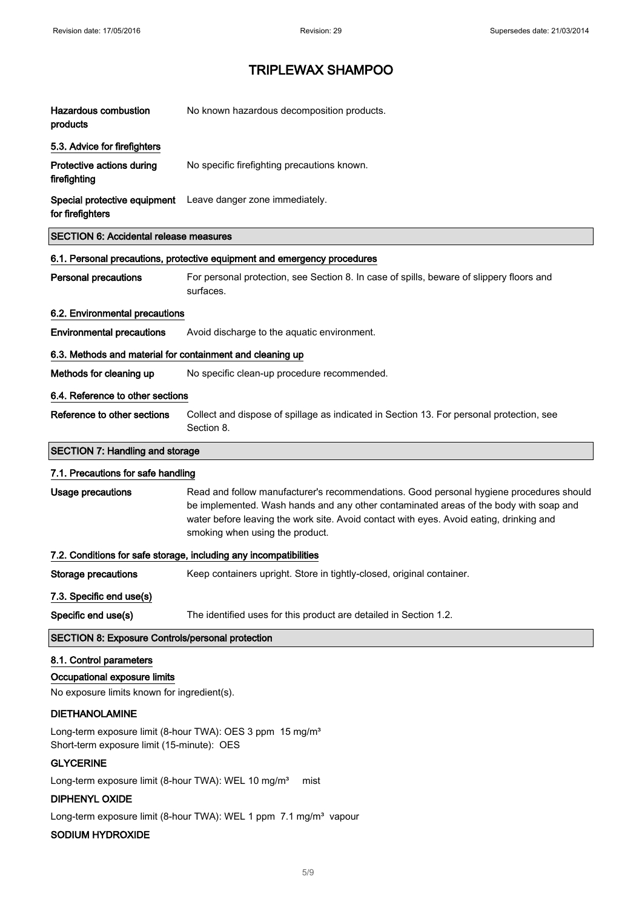| <b>Hazardous combustion</b><br>products                                                                             | No known hazardous decomposition products.                                                                                                                                                                                                                                                                     |
|---------------------------------------------------------------------------------------------------------------------|----------------------------------------------------------------------------------------------------------------------------------------------------------------------------------------------------------------------------------------------------------------------------------------------------------------|
| 5.3. Advice for firefighters                                                                                        |                                                                                                                                                                                                                                                                                                                |
| Protective actions during<br>firefighting                                                                           | No specific firefighting precautions known.                                                                                                                                                                                                                                                                    |
| for firefighters                                                                                                    | Special protective equipment Leave danger zone immediately.                                                                                                                                                                                                                                                    |
| <b>SECTION 6: Accidental release measures</b>                                                                       |                                                                                                                                                                                                                                                                                                                |
|                                                                                                                     | 6.1. Personal precautions, protective equipment and emergency procedures                                                                                                                                                                                                                                       |
| <b>Personal precautions</b>                                                                                         | For personal protection, see Section 8. In case of spills, beware of slippery floors and<br>surfaces.                                                                                                                                                                                                          |
| 6.2. Environmental precautions                                                                                      |                                                                                                                                                                                                                                                                                                                |
| <b>Environmental precautions</b>                                                                                    | Avoid discharge to the aquatic environment.                                                                                                                                                                                                                                                                    |
| 6.3. Methods and material for containment and cleaning up                                                           |                                                                                                                                                                                                                                                                                                                |
| Methods for cleaning up                                                                                             | No specific clean-up procedure recommended.                                                                                                                                                                                                                                                                    |
| 6.4. Reference to other sections                                                                                    |                                                                                                                                                                                                                                                                                                                |
| Reference to other sections                                                                                         | Collect and dispose of spillage as indicated in Section 13. For personal protection, see<br>Section 8.                                                                                                                                                                                                         |
| <b>SECTION 7: Handling and storage</b>                                                                              |                                                                                                                                                                                                                                                                                                                |
| 7.1. Precautions for safe handling                                                                                  |                                                                                                                                                                                                                                                                                                                |
| Usage precautions                                                                                                   | Read and follow manufacturer's recommendations. Good personal hygiene procedures should<br>be implemented. Wash hands and any other contaminated areas of the body with soap and<br>water before leaving the work site. Avoid contact with eyes. Avoid eating, drinking and<br>smoking when using the product. |
|                                                                                                                     | 7.2. Conditions for safe storage, including any incompatibilities                                                                                                                                                                                                                                              |
| Storage precautions                                                                                                 | Keep containers upright. Store in tightly-closed, original container.                                                                                                                                                                                                                                          |
| 7.3. Specific end use(s)                                                                                            |                                                                                                                                                                                                                                                                                                                |
| Specific end use(s)                                                                                                 | The identified uses for this product are detailed in Section 1.2.                                                                                                                                                                                                                                              |
| <b>SECTION 8: Exposure Controls/personal protection</b>                                                             |                                                                                                                                                                                                                                                                                                                |
| 8.1. Control parameters                                                                                             |                                                                                                                                                                                                                                                                                                                |
| Occupational exposure limits                                                                                        |                                                                                                                                                                                                                                                                                                                |
| No exposure limits known for ingredient(s).                                                                         |                                                                                                                                                                                                                                                                                                                |
| <b>DIETHANOLAMINE</b>                                                                                               |                                                                                                                                                                                                                                                                                                                |
| Long-term exposure limit (8-hour TWA): OES 3 ppm 15 mg/m <sup>3</sup><br>Short-term exposure limit (15-minute): OES |                                                                                                                                                                                                                                                                                                                |
| <b>GLYCERINE</b>                                                                                                    |                                                                                                                                                                                                                                                                                                                |
| Long-term exposure limit (8-hour TWA): WEL 10 mg/m <sup>3</sup>                                                     | mist                                                                                                                                                                                                                                                                                                           |
| <b>DIPHENYL OXIDE</b>                                                                                               |                                                                                                                                                                                                                                                                                                                |
| SODIUM HYDROXIDE                                                                                                    | Long-term exposure limit (8-hour TWA): WEL 1 ppm 7.1 mg/m <sup>3</sup> vapour                                                                                                                                                                                                                                  |
|                                                                                                                     |                                                                                                                                                                                                                                                                                                                |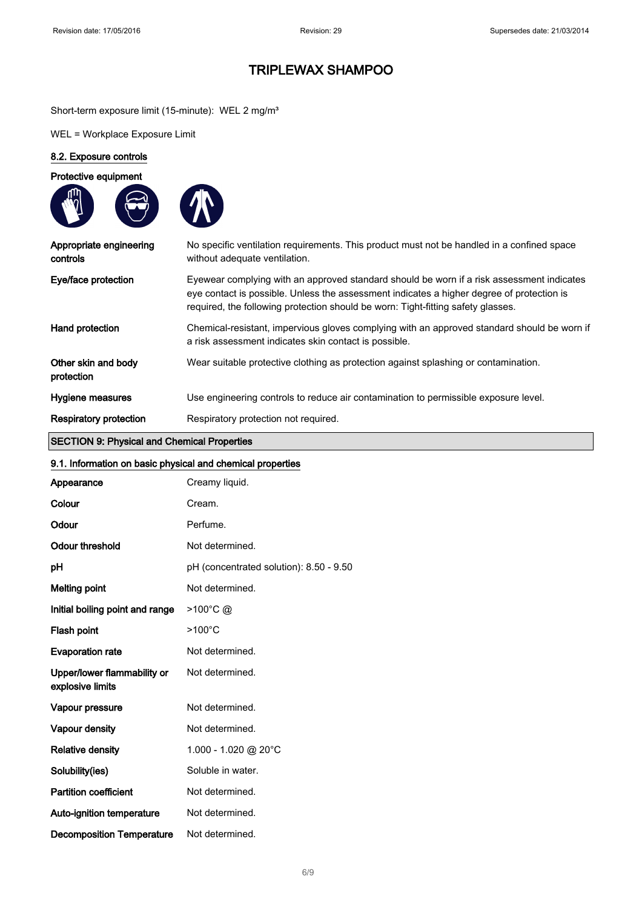Short-term exposure limit (15-minute): WEL 2 mg/m<sup>3</sup>

WEL = Workplace Exposure Limit

### 8.2. Exposure controls

Protective equipment





| Appropriate engineering<br>controls | No specific ventilation requirements. This product must not be handled in a confined space<br>without adequate ventilation.                                                                                                                                                |
|-------------------------------------|----------------------------------------------------------------------------------------------------------------------------------------------------------------------------------------------------------------------------------------------------------------------------|
| Eye/face protection                 | Eyewear complying with an approved standard should be worn if a risk assessment indicates<br>eye contact is possible. Unless the assessment indicates a higher degree of protection is<br>required, the following protection should be worn: Tight-fitting safety glasses. |
| Hand protection                     | Chemical-resistant, impervious gloves complying with an approved standard should be worn if<br>a risk assessment indicates skin contact is possible.                                                                                                                       |
| Other skin and body<br>protection   | Wear suitable protective clothing as protection against splashing or contamination.                                                                                                                                                                                        |
| Hygiene measures                    | Use engineering controls to reduce air contamination to permissible exposure level.                                                                                                                                                                                        |
| <b>Respiratory protection</b>       | Respiratory protection not required.                                                                                                                                                                                                                                       |

### SECTION 9: Physical and Chemical Properties

| 9.1. Information on basic physical and chemical properties |                                         |  |
|------------------------------------------------------------|-----------------------------------------|--|
| Appearance                                                 | Creamy liquid.                          |  |
| Colour                                                     | Cream.                                  |  |
| Odour                                                      | Perfume.                                |  |
| <b>Odour threshold</b>                                     | Not determined.                         |  |
| рH                                                         | pH (concentrated solution): 8.50 - 9.50 |  |
| <b>Melting point</b>                                       | Not determined.                         |  |
| Initial boiling point and range                            | $>100^{\circ}$ C @                      |  |
| Flash point                                                | $>100^{\circ}$ C                        |  |
| <b>Evaporation rate</b>                                    | Not determined.                         |  |
| Upper/lower flammability or<br>explosive limits            | Not determined.                         |  |
| Vapour pressure                                            | Not determined.                         |  |
| Vapour density                                             | Not determined.                         |  |
| <b>Relative density</b>                                    | $1.000 - 1.020$ @ 20°C                  |  |
| Solubility(ies)                                            | Soluble in water.                       |  |
| <b>Partition coefficient</b>                               | Not determined.                         |  |
| Auto-ignition temperature                                  | Not determined.                         |  |
| <b>Decomposition Temperature</b>                           | Not determined.                         |  |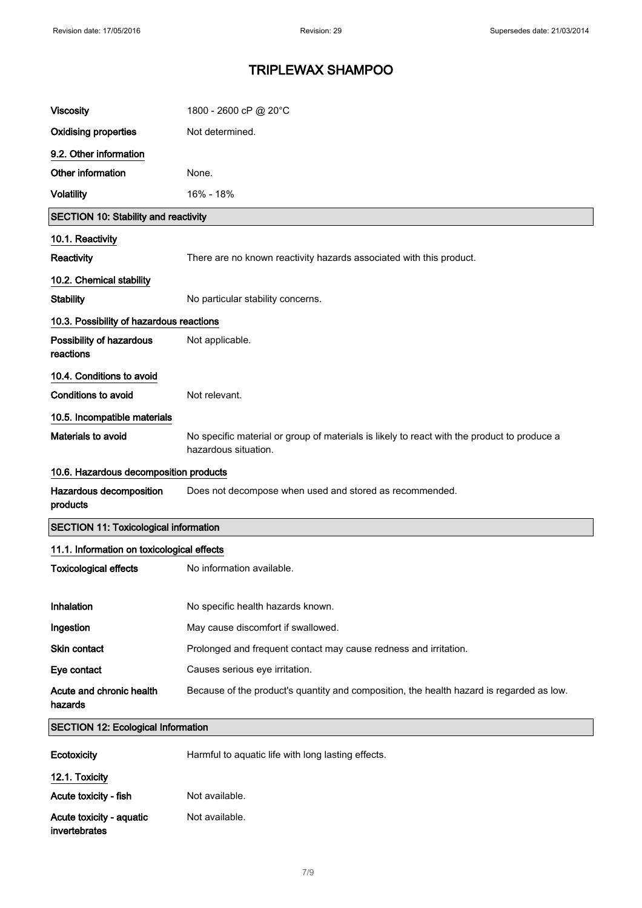| <b>Viscosity</b>                             | 1800 - 2600 cP @ 20°C                                                                                               |
|----------------------------------------------|---------------------------------------------------------------------------------------------------------------------|
| <b>Oxidising properties</b>                  | Not determined.                                                                                                     |
| 9.2. Other information                       |                                                                                                                     |
| Other information                            | None.                                                                                                               |
| <b>Volatility</b>                            | 16% - 18%                                                                                                           |
| <b>SECTION 10: Stability and reactivity</b>  |                                                                                                                     |
| 10.1. Reactivity                             |                                                                                                                     |
| Reactivity                                   | There are no known reactivity hazards associated with this product.                                                 |
| 10.2. Chemical stability                     |                                                                                                                     |
| <b>Stability</b>                             | No particular stability concerns.                                                                                   |
| 10.3. Possibility of hazardous reactions     |                                                                                                                     |
| Possibility of hazardous<br>reactions        | Not applicable.                                                                                                     |
| 10.4. Conditions to avoid                    |                                                                                                                     |
| <b>Conditions to avoid</b>                   | Not relevant.                                                                                                       |
| 10.5. Incompatible materials                 |                                                                                                                     |
| Materials to avoid                           | No specific material or group of materials is likely to react with the product to produce a<br>hazardous situation. |
| 10.6. Hazardous decomposition products       |                                                                                                                     |
| Hazardous decomposition<br>products          | Does not decompose when used and stored as recommended.                                                             |
| <b>SECTION 11: Toxicological information</b> |                                                                                                                     |
| 11.1. Information on toxicological effects   |                                                                                                                     |
| <b>Toxicological effects</b>                 | No information available.                                                                                           |
|                                              |                                                                                                                     |
| Inhalation                                   | No specific health hazards known.                                                                                   |
| Ingestion                                    | May cause discomfort if swallowed.                                                                                  |
| Skin contact                                 | Prolonged and frequent contact may cause redness and irritation.                                                    |
| Eye contact                                  | Causes serious eye irritation.                                                                                      |
| Acute and chronic health<br>hazards          | Because of the product's quantity and composition, the health hazard is regarded as low.                            |
| <b>SECTION 12: Ecological Information</b>    |                                                                                                                     |
| <b>Ecotoxicity</b>                           | Harmful to aquatic life with long lasting effects.                                                                  |
| 12.1. Toxicity                               |                                                                                                                     |
| Acute toxicity - fish                        | Not available.                                                                                                      |
| Acute toxicity - aquatic<br>invertebrates    | Not available.                                                                                                      |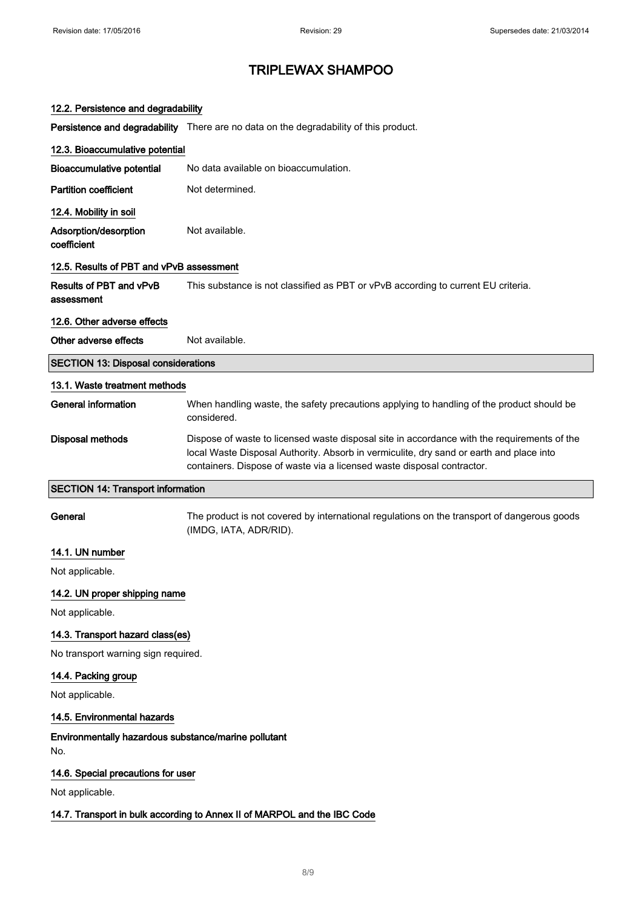| 12.2. Persistence and degradability                                      |                                                                                                                                                                                                                                                                  |
|--------------------------------------------------------------------------|------------------------------------------------------------------------------------------------------------------------------------------------------------------------------------------------------------------------------------------------------------------|
|                                                                          | Persistence and degradability There are no data on the degradability of this product.                                                                                                                                                                            |
| 12.3. Bioaccumulative potential                                          |                                                                                                                                                                                                                                                                  |
| <b>Bioaccumulative potential</b>                                         | No data available on bioaccumulation.                                                                                                                                                                                                                            |
| <b>Partition coefficient</b>                                             | Not determined.                                                                                                                                                                                                                                                  |
| 12.4. Mobility in soil                                                   |                                                                                                                                                                                                                                                                  |
| Adsorption/desorption<br>coefficient                                     | Not available.                                                                                                                                                                                                                                                   |
| 12.5. Results of PBT and vPvB assessment                                 |                                                                                                                                                                                                                                                                  |
| Results of PBT and vPvB<br>assessment                                    | This substance is not classified as PBT or vPvB according to current EU criteria.                                                                                                                                                                                |
| 12.6. Other adverse effects                                              |                                                                                                                                                                                                                                                                  |
| Other adverse effects                                                    | Not available.                                                                                                                                                                                                                                                   |
| <b>SECTION 13: Disposal considerations</b>                               |                                                                                                                                                                                                                                                                  |
| 13.1. Waste treatment methods                                            |                                                                                                                                                                                                                                                                  |
| <b>General information</b>                                               | When handling waste, the safety precautions applying to handling of the product should be<br>considered.                                                                                                                                                         |
| Disposal methods                                                         | Dispose of waste to licensed waste disposal site in accordance with the requirements of the<br>local Waste Disposal Authority. Absorb in vermiculite, dry sand or earth and place into<br>containers. Dispose of waste via a licensed waste disposal contractor. |
| <b>SECTION 14: Transport information</b>                                 |                                                                                                                                                                                                                                                                  |
| General                                                                  | The product is not covered by international regulations on the transport of dangerous goods<br>(IMDG, IATA, ADR/RID).                                                                                                                                            |
| 14.1. UN number                                                          |                                                                                                                                                                                                                                                                  |
| Not applicable.                                                          |                                                                                                                                                                                                                                                                  |
| 14.2. UN proper shipping name                                            |                                                                                                                                                                                                                                                                  |
| Not applicable.                                                          |                                                                                                                                                                                                                                                                  |
| 14.3. Transport hazard class(es)                                         |                                                                                                                                                                                                                                                                  |
| No transport warning sign required.                                      |                                                                                                                                                                                                                                                                  |
| 14.4. Packing group                                                      |                                                                                                                                                                                                                                                                  |
| Not applicable.                                                          |                                                                                                                                                                                                                                                                  |
| 14.5. Environmental hazards                                              |                                                                                                                                                                                                                                                                  |
| Environmentally hazardous substance/marine pollutant<br>No.              |                                                                                                                                                                                                                                                                  |
| 14.6. Special precautions for user                                       |                                                                                                                                                                                                                                                                  |
| Not applicable.                                                          |                                                                                                                                                                                                                                                                  |
| 14.7. Transport in bulk according to Annex II of MARPOL and the IBC Code |                                                                                                                                                                                                                                                                  |
|                                                                          |                                                                                                                                                                                                                                                                  |